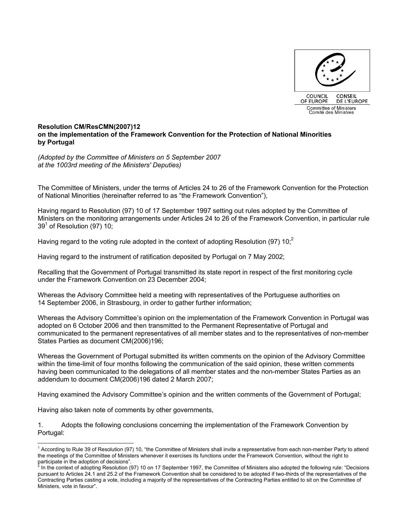

## **Resolution CM/ResCMN(2007)12 on the implementation of the Framework Convention for the Protection of National Minorities by Portugal**

*(Adopted by the Committee of Ministers on 5 September 2007 at the 1003rd meeting of the Ministers' Deputies)* 

The Committee of Ministers, under the terms of Articles 24 to 26 of the Framework Convention for the Protection of National Minorities (hereinafter referred to as "the Framework Convention"),

Having regard to Resolution (97) 10 of 17 September 1997 setting out rules adopted by the Committee of Ministers on the monitoring arrangements under Articles 24 to 26 of the Framework Convention, in particular rule 39 $^{\rm 1}$  of Resolution (97) 10;  $^{\rm 7}$ 

Having regard to the voting rule adopted in the context of adopting Resolution (97)  $10<sup>2</sup>$ 

Having regard to the instrument of ratification deposited by Portugal on 7 May 2002;

Recalling that the Government of Portugal transmitted its state report in respect of the first monitoring cycle under the Framework Convention on 23 December 2004;

Whereas the Advisory Committee held a meeting with representatives of the Portuguese authorities on 14 September 2006, in Strasbourg, in order to gather further information;

Whereas the Advisory Committee's opinion on the implementation of the Framework Convention in Portugal was adopted on 6 October 2006 and then transmitted to the Permanent Representative of Portugal and communicated to the permanent representatives of all member states and to the representatives of non-member States Parties as document CM(2006)196;

Whereas the Government of Portugal submitted its written comments on the opinion of the Advisory Committee within the time-limit of four months following the communication of the said opinion, these written comments having been communicated to the delegations of all member states and the non-member States Parties as an addendum to document CM(2006)196 dated 2 March 2007;

Having examined the Advisory Committee's opinion and the written comments of the Government of Portugal;

Having also taken note of comments by other governments,

l

1. Adopts the following conclusions concerning the implementation of the Framework Convention by Portugal:

<sup>&</sup>lt;sup>1</sup> According to Rule 39 of Resolution (97) 10, "the Committee of Ministers shall invite a representative from each non-member Party to attend the meetings of the Committee of Ministers whenever it exercises its functions under the Framework Convention, without the right to participate in the adoption of decisions".<br><sup>2</sup> In the context of adopting Boselution (C

In the context of adopting Resolution (97) 10 on 17 September 1997, the Committee of Ministers also adopted the following rule: "Decisions pursuant to Articles 24.1 and 25.2 of the Framework Convention shall be considered to be adopted if two-thirds of the representatives of the Contracting Parties casting a vote, including a majority of the representatives of the Contracting Parties entitled to sit on the Committee of Ministers, vote in favour".